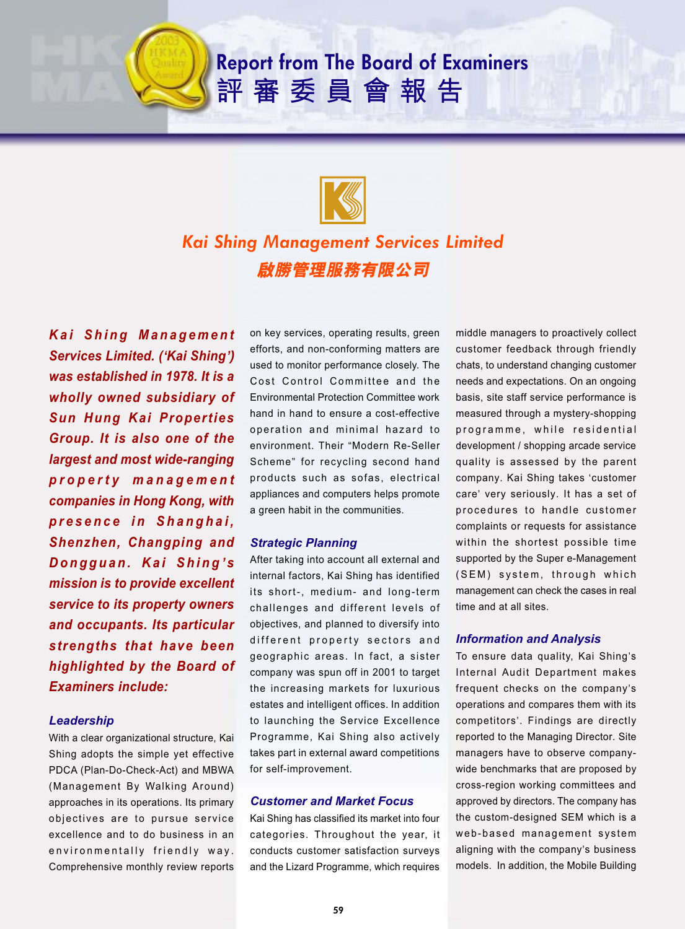# **Report from The Board of Examiners** 評審委員會報告



## *Kai Shing Management Services Limited* 啟勝管理服務有限公司

*Kai Shing Management Services Limited. (***'***Kai Shing***')** *was established in 1978. It is a wholly owned subsidiary of Sun Hung Kai Properties Group. It is also one of the largest and most wide-ranging property management companies in Hong Kong, with presence in Shanghai, Shenzhen, Changping and Dongguan. Kai Shing* **'** *s mission is to provide excellent service to its property owners and occupants. Its particular strengths that have been highlighted by the Board of Examiners include:*

### *Leadership*

With a clear organizational structure, Kai Shing adopts the simple yet effective PDCA (Plan-Do-Check-Act) and MBWA (Management By Walking Around) approaches in its operations. Its primary objectives are to pursue service excellence and to do business in an environmentally friendly way. Comprehensive monthly review reports

on key services, operating results, green efforts, and non-conforming matters are used to monitor performance closely. The Cost Control Committee and the Environmental Protection Committee work hand in hand to ensure a cost-effective operation and minimal hazard to environment. Their "Modern Re-Seller Scheme" for recycling second hand products such as sofas, electrical appliances and computers helps promote a green habit in the communities.

## *Strategic Planning*

After taking into account all external and internal factors, Kai Shing has identified its short-, medium- and long-term challenges and different levels of objectives, and planned to diversify into different property sectors and geographic areas. In fact, a sister company was spun off in 2001 to target the increasing markets for luxurious estates and intelligent offices. In addition to launching the Service Excellence Programme, Kai Shing also actively takes part in external award competitions for self-improvement.

## *Customer and Market Focus*

Kai Shing has classified its market into four categories. Throughout the year, it conducts customer satisfaction surveys and the Lizard Programme, which requires

middle managers to proactively collect customer feedback through friendly chats, to understand changing customer needs and expectations. On an ongoing basis, site staff service performance is measured through a mystery-shopping programme, while residential development / shopping arcade service quality is assessed by the parent company. Kai Shing takes 'customer care' very seriously. It has a set of procedures to handle customer complaints or requests for assistance within the shortest possible time supported by the Super e-Management (SEM) system, through which management can check the cases in real time and at all sites.

## *Information and Analysis*

To ensure data quality, Kai Shing's Internal Audit Department makes frequent checks on the company's operations and compares them with its competitors'. Findings are directly reported to the Managing Director. Site managers have to observe companywide benchmarks that are proposed by cross-region working committees and approved by directors. The company has the custom-designed SEM which is a web-based management system aligning with the company's business models. In addition, the Mobile Building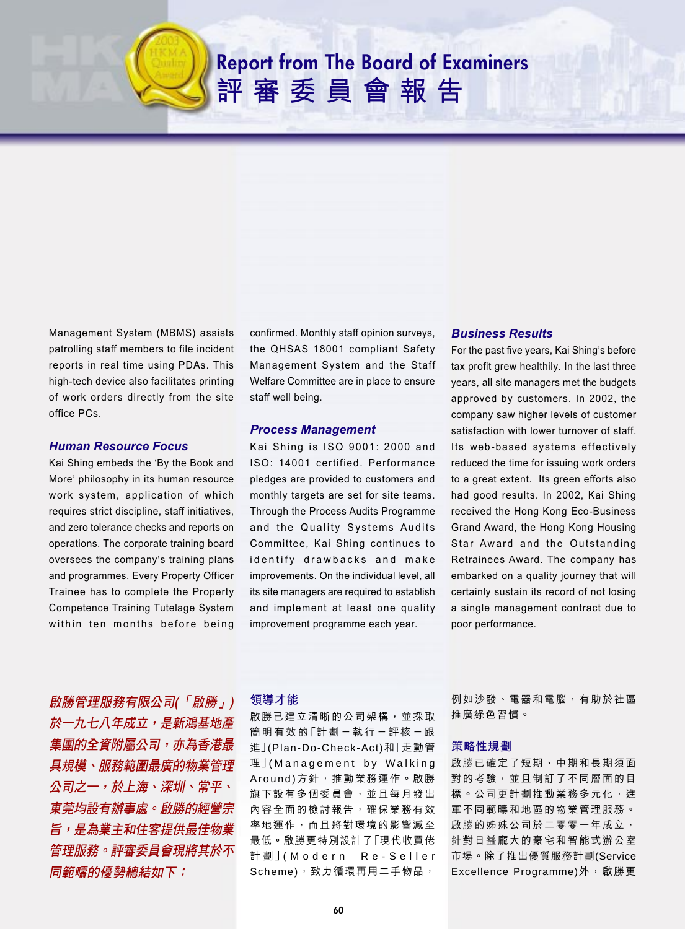# **Report from The Board of Examiners** 評審委員會報告

Management System (MBMS) assists patrolling staff members to file incident reports in real time using PDAs. This high-tech device also facilitates printing of work orders directly from the site office PCs.

#### *Human Resource Focus*

Kai Shing embeds the 'By the Book and More' philosophy in its human resource work system, application of which requires strict discipline, staff initiatives, and zero tolerance checks and reports on operations. The corporate training board oversees the company's training plans and programmes. Every Property Officer Trainee has to complete the Property Competence Training Tutelage System within ten months before being confirmed. Monthly staff opinion surveys, the QHSAS 18001 compliant Safety Management System and the Staff Welfare Committee are in place to ensure staff well being.

#### *Process Management*

Kai Shing is ISO 9001: 2000 and ISO: 14001 certified. Performance pledges are provided to customers and monthly targets are set for site teams. Through the Process Audits Programme and the Quality Systems Audits Committee, Kai Shing continues to identify drawbacks and make improvements. On the individual level, all its site managers are required to establish and implement at least one quality improvement programme each year.

#### *Business Results*

For the past five years, Kai Shing's before tax profit grew healthily. In the last three years, all site managers met the budgets approved by customers. In 2002, the company saw higher levels of customer satisfaction with lower turnover of staff. Its web-based systems effectively reduced the time for issuing work orders to a great extent. Its green efforts also had good results. In 2002, Kai Shing received the Hong Kong Eco-Business Grand Award, the Hong Kong Housing Star Award and the Outstanding Retrainees Award. The company has embarked on a quality journey that will certainly sustain its record of not losing a single management contract due to poor performance.

啟勝管理服務有限公司(「啟勝」) *於一九七八年成立,是新鴻基地產* 集團的全資附屬公司,亦為香港最 具規模、服務範圍最廣的物業管理 *公司之一,於上海、深圳、常平、* 東莞均設有辦事處。啟勝的經營宗 旨,是為業主和住客提供最佳物業 管理服務。評審委員會現將其於不 同範疇的優勢總結如下:

## 領導才能

啟勝已建立清晰的公司架構,並採取 簡 明 有 效 的 「 計 劃 - 執 行 - 評 核 - 跟 進」 (Plan-Do-Check-Act)和「走動管 理」(Management by Walking Around)方針,推動業務運作。啟勝 旗下設有多個委員會,並且每月發出 內容全面的檢討報告,確保業務有效 率 地 運 作 , 而 且 將 對 環 境 的 影 響 減 至 最低。啟勝更特別設計了「現代收買佬 計劃」(Modern Re-Seller Scheme),致力循環再用二手物品, 例如沙發、電器和電腦,有助於社區 推廣綠色習慣。

#### 策略性規劃

啟勝已確定了短期、中期和長期須面 對的考驗, 並且制訂了不同層面的目 標。公司更計劃推動業務多元化,進 軍不同範疇和地區的物業管理服務。 啟勝的姊妹公司於二零零一年成立, 針對日益龐大的豪宅和智能式辦公室 市場。除了推出優質服務計劃(Service Excellence Programme)外,啟勝更